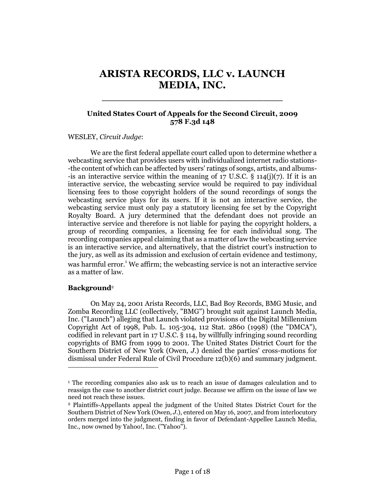# **ARISTA RECORDS, LLC v. LAUNCH MEDIA, INC.**

\_\_\_\_\_\_\_\_\_\_\_\_\_\_\_\_\_\_\_\_\_\_\_\_\_\_\_\_

# **United States Court of Appeals for the Second Circuit, 2009 578 F.3d 148**

#### WESLEY, *Circuit Judge*:

We are the first federal appellate court called upon to determine whether a webcasting service that provides users with individualized internet radio stations- -the content of which can be affected by users' ratings of songs, artists, and albums- -is an interactive service within the meaning of  $17 \text{ U.S.C. }$  §  $114(j)(7)$ . If it is an interactive service, the webcasting service would be required to pay individual licensing fees to those copyright holders of the sound recordings of songs the webcasting service plays for its users. If it is not an interactive service, the webcasting service must only pay a statutory licensing fee set by the Copyright Royalty Board. A jury determined that the defendant does not provide an interactive service and therefore is not liable for paying the copyright holders, a group of recording companies, a licensing fee for each individual song. The recording companies appeal claiming that as a matter of law the webcasting service is an interactive service, and alternatively, that the district court's instruction to the jury, as well as its admission and exclusion of certain evidence and testimony, was harmful error.<sup>1</sup> We affirm; the webcasting service is not an interactive service as a matter of law.

#### **Background**<sup>2</sup>

 $\overline{a}$ 

On May 24, 2001 Arista Records, LLC, Bad Boy Records, BMG Music, and Zomba Recording LLC (collectively, "BMG") brought suit against Launch Media, Inc. ("Launch") alleging that Launch violated provisions of the Digital Millennium Copyright Act of 1998, Pub. L. 105-304, 112 Stat. 2860 (1998) (the "DMCA"), codified in relevant part in 17 U.S.C. § 114, by willfully infringing sound recording copyrights of BMG from 1999 to 2001. The United States District Court for the Southern District of New York (Owen, *J*.) denied the parties' cross-motions for dismissal under Federal Rule of Civil Procedure 12(b)(6) and summary judgment.

<sup>1</sup> The recording companies also ask us to reach an issue of damages calculation and to reassign the case to another district court judge. Because we affirm on the issue of law we need not reach these issues.

<sup>2</sup> Plaintiffs-Appellants appeal the judgment of the United States District Court for the Southern District of New York (Owen, *J*.), entered on May 16, 2007, and from interlocutory orders merged into the judgment, finding in favor of Defendant-Appellee Launch Media, Inc., now owned by Yahoo!, Inc. ("Yahoo").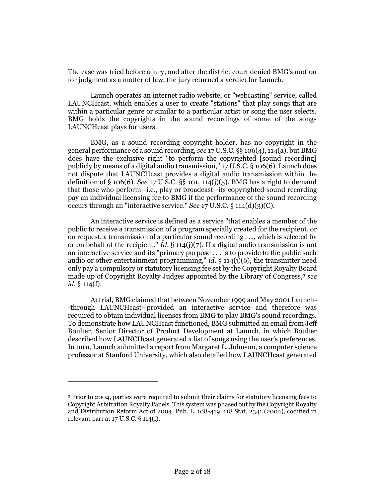The case was tried before a jury, and after the district court denied BMG's motion for judgment as a matter of law, the jury returned a verdict for Launch.

Launch operates an internet radio website, or "webcasting" service, called LAUNCHcast, which enables a user to create "stations" that play songs that are within a particular genre or similar to a particular artist or song the user selects. BMG holds the copyrights in the sound recordings of some of the songs LAUNCHcast plays for users.

BMG, as a sound recording copyright holder, has no copyright in the general performance of a sound recording, *see* 17 U.S.C. §§ 106(4), 114(a), but BMG does have the exclusive right "to perform the copyrighted [sound recording] publicly by means of a digital audio transmission," 17 U.S.C. § 106(6). Launch does not dispute that LAUNCHcast provides a digital audio transmission within the definition of § 106(6). *See* 17 U.S.C. §§ 101, 114(j)(5). BMG has a right to demand that those who perform--i.e., play or broadcast--its copyrighted sound recording pay an individual licensing fee to BMG if the performance of the sound recording occurs through an "interactive service." *See* 17 U.S.C. § 114(d)(3)(C).

An interactive service is defined as a service "that enables a member of the public to receive a transmission of a program specially created for the recipient, or on request, a transmission of a particular sound recording . . ., which is selected by or on behalf of the recipient." *Id*. § 114(j)(7). If a digital audio transmission is not an interactive service and its "primary purpose . . . is to provide to the public such audio or other entertainment programming," *id*.  $\S$  114(j)(6), the transmitter need only pay a compulsory or statutory licensing fee set by the Copyright Royalty Board made up of Copyright Royalty Judges appointed by the Library of Congress,<sup>3</sup> *see id*. § 114(f).

At trial, BMG claimed that between November 1999 and May 2001 Launch- -through LAUNCHcast--provided an interactive service and therefore was required to obtain individual licenses from BMG to play BMG's sound recordings. To demonstrate how LAUNCHcast functioned, BMG submitted an email from Jeff Boulter, Senior Director of Product Development at Launch, in which Boulter described how LAUNCHcast generated a list of songs using the user's preferences. In turn, Launch submitted a report from Margaret L. Johnson, a computer science professor at Stanford University, which also detailed how LAUNCHcast generated

<sup>3</sup> Prior to 2004, parties were required to submit their claims for statutory licensing fees to Copyright Arbitration Royalty Panels. This system was phased out by the Copyright Royalty and Distribution Reform Act of 2004, Pub. L. 108-419, 118 Stat. 2341 (2004), codified in relevant part at 17 U.S.C. § 114(f).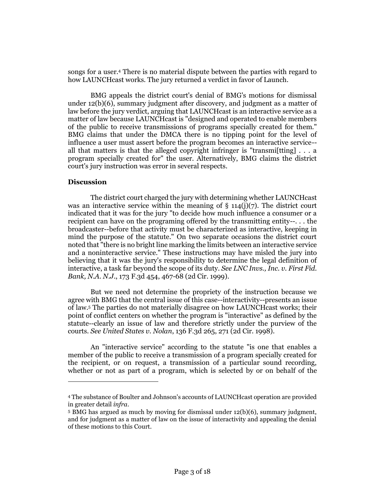songs for a user.<sup>4</sup> There is no material dispute between the parties with regard to how LAUNCHcast works. The jury returned a verdict in favor of Launch.

BMG appeals the district court's denial of BMG's motions for dismissal under 12(b)(6), summary judgment after discovery, and judgment as a matter of law before the jury verdict, arguing that LAUNCHcast is an interactive service as a matter of law because LAUNCHcast is "designed and operated to enable members of the public to receive transmissions of programs specially created for them." BMG claims that under the DMCA there is no tipping point for the level of influence a user must assert before the program becomes an interactive service- all that matters is that the alleged copyright infringer is "transmilitting]  $\ldots$  a program specially created for" the user. Alternatively, BMG claims the district court's jury instruction was error in several respects.

## **Discussion**

 $\overline{a}$ 

The district court charged the jury with determining whether LAUNCHcast was an interactive service within the meaning of  $\S$  114(j)(7). The district court indicated that it was for the jury "to decide how much influence a consumer or a recipient can have on the programing offered by the transmitting entity--. . . the broadcaster--before that activity must be characterized as interactive, keeping in mind the purpose of the statute." On two separate occasions the district court noted that "there is no bright line marking the limits between an interactive service and a noninteractive service." These instructions may have misled the jury into believing that it was the jury's responsibility to determine the legal definition of interactive, a task far beyond the scope of its duty. *See LNC Invs., Inc. v. First Fid. Bank, N.A. N.J*., 173 F.3d 454, 467-68 (2d Cir. 1999).

But we need not determine the propriety of the instruction because we agree with BMG that the central issue of this case--interactivity--presents an issue of law.<sup>5</sup> The parties do not materially disagree on how LAUNCHcast works; their point of conflict centers on whether the program is "interactive" as defined by the statute--clearly an issue of law and therefore strictly under the purview of the courts. *See United States v. Nolan*, 136 F.3d 265, 271 (2d Cir. 1998).

An "interactive service" according to the statute "is one that enables a member of the public to receive a transmission of a program specially created for the recipient, or on request, a transmission of a particular sound recording, whether or not as part of a program, which is selected by or on behalf of the

<sup>4</sup> The substance of Boulter and Johnson's accounts of LAUNCHcast operation are provided in greater detail *infra*.

<sup>5</sup> BMG has argued as much by moving for dismissal under 12(b)(6), summary judgment, and for judgment as a matter of law on the issue of interactivity and appealing the denial of these motions to this Court.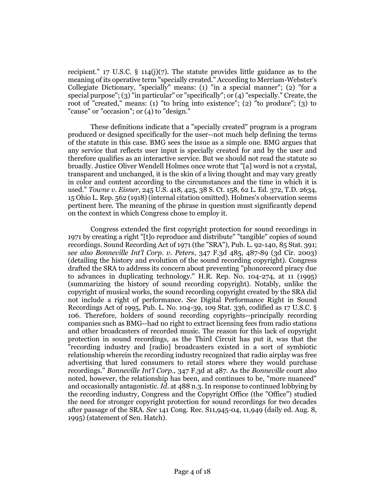recipient."  $17 \text{ U.S.C. }$  §  $114(j)(7)$ . The statute provides little guidance as to the meaning of its operative term "specially created." According to Merriam-Webster's Collegiate Dictionary, "specially" means: (1) "in a special manner"; (2) "for a special purpose"; (3) "in particular" or "specifically"; or (4) "especially." Create, the root of "created," means: (1) "to bring into existence"; (2) "to produce"; (3) to "cause" or "occasion"; or (4) to "design."

These definitions indicate that a "specially created" program is a program produced or designed specifically for the user--not much help defining the terms of the statute in this case. BMG sees the issue as a simple one. BMG argues that any service that reflects user input is specially created for and by the user and therefore qualifies as an interactive service. But we should not read the statute so broadly. Justice Oliver Wendell Holmes once wrote that "[a] word is not a crystal, transparent and unchanged, it is the skin of a living thought and may vary greatly in color and content according to the circumstances and the time in which it is used." *Towne v. Eisner*, 245 U.S. 418, 425, 38 S. Ct. 158, 62 L. Ed. 372, T.D. 2634, 15 Ohio L. Rep. 562 (1918) (internal citation omitted). Holmes's observation seems pertinent here. The meaning of the phrase in question must significantly depend on the context in which Congress chose to employ it.

Congress extended the first copyright protection for sound recordings in 1971 by creating a right "[t]o reproduce and distribute" "tangible" copies of sound recordings. Sound Recording Act of 1971 (the "SRA"), Pub. L. 92-140, 85 Stat. 391; *see also Bonneville Int'l Corp. v. Peters*, 347 F.3d 485, 487-89 (3d Cir. 2003) (detailing the history and evolution of the sound recording copyright). Congress drafted the SRA to address its concern about preventing "phonorecord piracy due to advances in duplicating technology." H.R. Rep. No. 104-274, at 11 (1995) (summarizing the history of sound recording copyright). Notably, unlike the copyright of musical works, the sound recording copyright created by the SRA did not include a right of performance. *See* Digital Performance Right in Sound Recordings Act of 1995, Pub. L. No. 104-39, 109 Stat. 336, codified as 17 U.S.C. § 106. Therefore, holders of sound recording copyrights--principally recording companies such as BMG--had no right to extract licensing fees from radio stations and other broadcasters of recorded music. The reason for this lack of copyright protection in sound recordings, as the Third Circuit has put it, was that the "recording industry and [radio] broadcasters existed in a sort of symbiotic relationship wherein the recording industry recognized that radio airplay was free advertising that lured consumers to retail stores where they would purchase recordings." *Bonneville Int'l Corp*., 347 F.3d at 487. As the *Bonneville* court also noted, however, the relationship has been, and continues to be, "more nuanced" and occasionally antagonistic. *Id*. at 488 n.3. In response to continued lobbying by the recording industry, Congress and the Copyright Office (the "Office") studied the need for stronger copyright protection for sound recordings for two decades after passage of the SRA. *See* 141 Cong. Rec. S11,945-04, 11,949 (daily ed. Aug. 8, 1995) (statement of Sen. Hatch).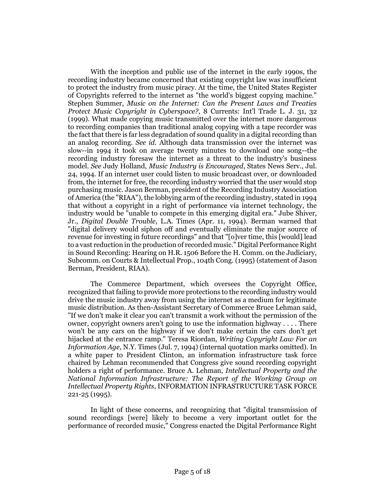With the inception and public use of the internet in the early 1990s, the recording industry became concerned that existing copyright law was insufficient to protect the industry from music piracy. At the time, the United States Register of Copyrights referred to the internet as "the world's biggest copying machine." Stephen Summer, *Music on the Internet: Can the Present Laws and Treaties Protect Music Copyright in Cyberspace?*, 8 Currents: Int'l Trade L. J. 31, 32 (1999). What made copying music transmitted over the internet more dangerous to recording companies than traditional analog copying with a tape recorder was the fact that there is far less degradation of sound quality in a digital recording than an analog recording. *See id*. Although data transmission over the internet was slow--in 1994 it took on average twenty minutes to download one song--the recording industry foresaw the internet as a threat to the industry's business model. *See* Judy Holland, *Music Industry is Encouraged*, States News Serv., Jul. 24, 1994. If an internet user could listen to music broadcast over, or downloaded from, the internet for free, the recording industry worried that the user would stop purchasing music. Jason Berman, president of the Recording Industry Association of America (the "RIAA"), the lobbying arm of the recording industry, stated in 1994 that without a copyright in a right of performance via internet technology, the industry would be "unable to compete in this emerging digital era." Jube Shiver, Jr., *Digital Double Trouble*, L.A. Times (Apr. 11, 1994). Berman warned that "digital delivery would siphon off and eventually eliminate the major source of revenue for investing in future recordings" and that "[o]ver time, this [would] lead to a vast reduction in the production of recorded music." Digital Performance Right in Sound Recording: Hearing on H.R. 1506 Before the H. Comm. on the Judiciary, Subcomm. on Courts & Intellectual Prop., 104th Cong. (1995) (statement of Jason Berman, President, RIAA).

The Commerce Department, which oversees the Copyright Office, recognized that failing to provide more protections to the recording industry would drive the music industry away from using the internet as a medium for legitimate music distribution. As then-Assistant Secretary of Commerce Bruce Lehman said, "If we don't make it clear you can't transmit a work without the permission of the owner, copyright owners aren't going to use the information highway . . . . There won't be any cars on the highway if we don't make certain the cars don't get hijacked at the entrance ramp." Teresa Riordan, *Writing Copyright Law For an Information Age*, N.Y. Times (Jul. 7, 1994) (internal quotation marks omitted). In a white paper to President Clinton, an information infrastructure task force chaired by Lehman recommended that Congress give sound recording copyright holders a right of performance. Bruce A. Lehman, *Intellectual Property and the National Information Infrastructure: The Report of the Working Group on Intellectual Property Rights*, INFORMATION INFRASTRUCTURE TASK FORCE 221-25 (1995).

In light of these concerns, and recognizing that "digital transmission of sound recordings [were] likely to become a very important outlet for the performance of recorded music," Congress enacted the Digital Performance Right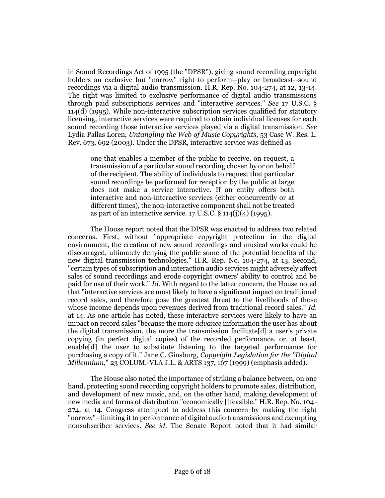in Sound Recordings Act of 1995 (the "DPSR"), giving sound recording copyright holders an exclusive but "narrow" right to perform--play or broadcast--sound recordings via a digital audio transmission. H.R. Rep. No. 104-274, at 12, 13-14. The right was limited to exclusive performance of digital audio transmissions through paid subscriptions services and "interactive services." *See* 17 U.S.C. § 114(d) (1995). While non-interactive subscription services qualified for statutory licensing, interactive services were required to obtain individual licenses for each sound recording those interactive services played via a digital transmission. *See* Lydia Pallas Loren, *Untangling the Web of Music Copyrights*, 53 Case W. Res. L. Rev. 673, 692 (2003). Under the DPSR, interactive service was defined as

one that enables a member of the public to receive, on request, a transmission of a particular sound recording chosen by or on behalf of the recipient. The ability of individuals to request that particular sound recordings be performed for reception by the public at large does not make a service interactive. If an entity offers both interactive and non-interactive services (either concurrently or at different times), the non-interactive component shall not be treated as part of an interactive service. 17 U.S.C. § 114(j)(4) (1995).

The House report noted that the DPSR was enacted to address two related concerns. First, without "appropriate copyright protection in the digital environment, the creation of new sound recordings and musical works could be discouraged, ultimately denying the public some of the potential benefits of the new digital transmission technologies." H.R. Rep. No. 104-274, at 13. Second, "certain types of subscription and interaction audio services might adversely affect sales of sound recordings and erode copyright owners' ability to control and be paid for use of their work." *Id*. With regard to the latter concern, the House noted that "interactive services are most likely to have a significant impact on traditional record sales, and therefore pose the greatest threat to the livelihoods of those whose income depends upon revenues derived from traditional record sales." *Id*. at 14. As one article has noted, these interactive services were likely to have an impact on record sales "because the more *advance* information the user has about the digital transmission, the more the transmission facilitate[d] a user's private copying (in perfect digital copies) of the recorded performance, or, at least, enable[d] the user to substitute listening to the targeted performance for purchasing a copy of it." Jane C. Ginsburg, *Copyright Legislation for the "Digital Millennium*," 23 COLUM.-VLA J.L. & ARTS 137, 167 (1999) (emphasis added).

The House also noted the importance of striking a balance between, on one hand, protecting sound recording copyright holders to promote sales, distribution, and development of new music, and, on the other hand, making development of new media and forms of distribution "economically []feasible." H.R. Rep. No. 104- 274, at 14. Congress attempted to address this concern by making the right "narrow"--limiting it to performance of digital audio transmissions and exempting nonsubscriber services. *See id*. The Senate Report noted that it had similar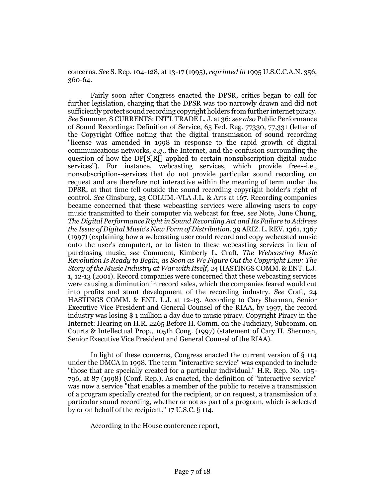concerns. *See* S. Rep. 104-128, at 13-17 (1995), *reprinted in* 1995 U.S.C.C.A.N. 356, 360-64.

Fairly soon after Congress enacted the DPSR, critics began to call for further legislation, charging that the DPSR was too narrowly drawn and did not sufficiently protect sound recording copyright holders from further internet piracy. *See* Summer, 8 CURRENTS: INT'L TRADE L. J. at 36; *see also* Public Performance of Sound Recordings: Definition of Service, 65 Fed. Reg. 77330, 77,331 (letter of the Copyright Office noting that the digital transmission of sound recording "license was amended in 1998 in response to the rapid growth of digital communications networks, *e.g*., the Internet, and the confusion surrounding the question of how the DP[S]R[] applied to certain nonsubscription digital audio services"). For instance, webcasting services, which provide free--i.e., nonsubscription--services that do not provide particular sound recording on request and are therefore not interactive within the meaning of term under the DPSR, at that time fell outside the sound recording copyright holder's right of control. *See* Ginsburg, 23 COLUM.-VLA J.L. & Arts at 167. Recording companies became concerned that these webcasting services were allowing users to copy music transmitted to their computer via webcast for free, *see* Note, June Chung, *The Digital Performance Right in Sound Recording Act and Its Failure to Address the Issue of Digital Music's New Form of Distribution*, 39 ARIZ. L. REV. 1361, 1367 (1997) (explaining how a webcasting user could record and copy webcasted music onto the user's computer), or to listen to these webcasting services in lieu of purchasing music, *see* Comment, Kimberly L. Craft, *The Webcasting Music Revolution Is Ready to Begin, as Soon as We Figure Out the Copyright Law: The Story of the Music Industry at War with Itself*, 24 HASTINGS COMM. & ENT. L.J. 1, 12-13 (2001). Record companies were concerned that these webcasting services were causing a diminution in record sales, which the companies feared would cut into profits and stunt development of the recording industry. *See* Craft, 24 HASTINGS COMM. & ENT. L.J. at 12-13. According to Cary Sherman, Senior Executive Vice President and General Counsel of the RIAA, by 1997, the record industry was losing \$ 1 million a day due to music piracy. Copyright Piracy in the Internet: Hearing on H.R. 2265 Before H. Comm. on the Judiciary, Subcomm. on Courts & Intellectual Prop., 105th Cong. (1997) (statement of Cary H. Sherman, Senior Executive Vice President and General Counsel of the RIAA).

In light of these concerns, Congress enacted the current version of § 114 under the DMCA in 1998. The term "interactive service" was expanded to include "those that are specially created for a particular individual." H.R. Rep. No. 105- 796, at 87 (1998) (Conf. Rep.). As enacted, the definition of "interactive service" was now a service "that enables a member of the public to receive a transmission of a program specially created for the recipient, or on request, a transmission of a particular sound recording, whether or not as part of a program, which is selected by or on behalf of the recipient." 17 U.S.C. § 114.

According to the House conference report,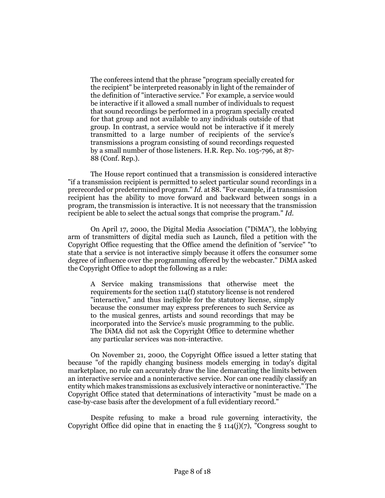The conferees intend that the phrase "program specially created for the recipient" be interpreted reasonably in light of the remainder of the definition of "interactive service." For example, a service would be interactive if it allowed a small number of individuals to request that sound recordings be performed in a program specially created for that group and not available to any individuals outside of that group. In contrast, a service would not be interactive if it merely transmitted to a large number of recipients of the service's transmissions a program consisting of sound recordings requested by a small number of those listeners. H.R. Rep. No. 105-796, at 87- 88 (Conf. Rep.).

The House report continued that a transmission is considered interactive "if a transmission recipient is permitted to select particular sound recordings in a prerecorded or predetermined program." *Id*. at 88. "For example, if a transmission recipient has the ability to move forward and backward between songs in a program, the transmission is interactive. It is not necessary that the transmission recipient be able to select the actual songs that comprise the program." *Id*.

On April 17, 2000, the Digital Media Association ("DiMA"), the lobbying arm of transmitters of digital media such as Launch, filed a petition with the Copyright Office requesting that the Office amend the definition of "service" "to state that a service is not interactive simply because it offers the consumer some degree of influence over the programming offered by the webcaster." DiMA asked the Copyright Office to adopt the following as a rule:

A Service making transmissions that otherwise meet the requirements for the section 114(f) statutory license is not rendered "interactive," and thus ineligible for the statutory license, simply because the consumer may express preferences to such Service as to the musical genres, artists and sound recordings that may be incorporated into the Service's music programming to the public. The DiMA did not ask the Copyright Office to determine whether any particular services was non-interactive.

On November 21, 2000, the Copyright Office issued a letter stating that because "of the rapidly changing business models emerging in today's digital marketplace, no rule can accurately draw the line demarcating the limits between an interactive service and a noninteractive service. Nor can one readily classify an entity which makes transmissions as exclusively interactive or noninteractive." The Copyright Office stated that determinations of interactivity "must be made on a case-by-case basis after the development of a full evidentiary record."

Despite refusing to make a broad rule governing interactivity, the Copyright Office did opine that in enacting the  $\S$  114(j)(7), "Congress sought to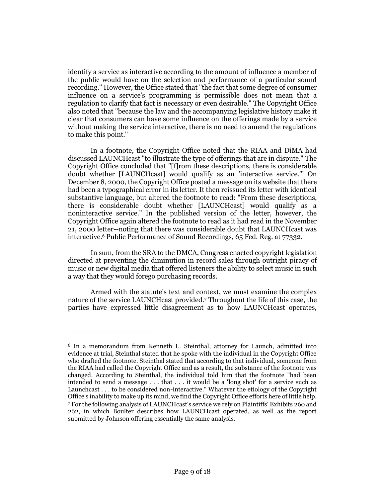identify a service as interactive according to the amount of influence a member of the public would have on the selection and performance of a particular sound recording." However, the Office stated that "the fact that some degree of consumer influence on a service's programming is permissible does not mean that a regulation to clarify that fact is necessary or even desirable." The Copyright Office also noted that "because the law and the accompanying legislative history make it clear that consumers can have some influence on the offerings made by a service without making the service interactive, there is no need to amend the regulations to make this point."

In a footnote, the Copyright Office noted that the RIAA and DiMA had discussed LAUNCHcast "to illustrate the type of offerings that are in dispute." The Copyright Office concluded that "[f]rom these descriptions, there is considerable doubt whether [LAUNCHcast] would qualify as an 'interactive service.'" On December 8, 2000, the Copyright Office posted a message on its website that there had been a typographical error in its letter. It then reissued its letter with identical substantive language, but altered the footnote to read: "From these descriptions, there is considerable doubt whether [LAUNCHcast] would qualify as a noninteractive service." In the published version of the letter, however, the Copyright Office again altered the footnote to read as it had read in the November 21, 2000 letter--noting that there was considerable doubt that LAUNCHcast was interactive.<sup>6</sup> Public Performance of Sound Recordings, 65 Fed. Reg. at 77332.

In sum, from the SRA to the DMCA, Congress enacted copyright legislation directed at preventing the diminution in record sales through outright piracy of music or new digital media that offered listeners the ability to select music in such a way that they would forego purchasing records.

Armed with the statute's text and context, we must examine the complex nature of the service LAUNCHcast provided.<sup>7</sup> Throughout the life of this case, the parties have expressed little disagreement as to how LAUNCHcast operates,

<sup>6</sup> In a memorandum from Kenneth L. Steinthal, attorney for Launch, admitted into evidence at trial, Steinthal stated that he spoke with the individual in the Copyright Office who drafted the footnote. Steinthal stated that according to that individual, someone from the RIAA had called the Copyright Office and as a result, the substance of the footnote was changed. According to Steinthal, the individual told him that the footnote "had been intended to send a message . . . that . . . it would be a 'long shot' for a service such as Launchcast . . . to be considered non-interactive." Whatever the etiology of the Copyright Office's inability to make up its mind, we find the Copyright Office efforts here of little help. <sup>7</sup> For the following analysis of LAUNCHcast's service we rely on Plaintiffs' Exhibits 260 and 262, in which Boulter describes how LAUNCHcast operated, as well as the report submitted by Johnson offering essentially the same analysis.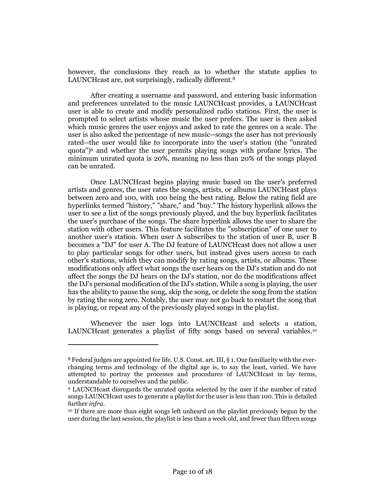however, the conclusions they reach as to whether the statute applies to LAUNCHcast are, not surprisingly, radically different.<sup>8</sup>

After creating a username and password, and entering basic information and preferences unrelated to the music LAUNCHcast provides, a LAUNCHcast user is able to create and modify personalized radio stations. First, the user is prompted to select artists whose music the user prefers. The user is then asked which music genres the user enjoys and asked to rate the genres on a scale. The user is also asked the percentage of new music--songs the user has not previously rated--the user would like to incorporate into the user's station (the "unrated quota")<sup>9</sup> and whether the user permits playing songs with profane lyrics. The minimum unrated quota is 20%, meaning no less than 20% of the songs played can be unrated.

Once LAUNCHcast begins playing music based on the user's preferred artists and genres, the user rates the songs, artists, or albums LAUNCHcast plays between zero and 100, with 100 being the best rating. Below the rating field are hyperlinks termed "history," "share," and "buy." The history hyperlink allows the user to see a list of the songs previously played, and the buy hyperlink facilitates the user's purchase of the songs. The share hyperlink allows the user to share the station with other users. This feature facilitates the "subscription" of one user to another user's station. When user A subscribes to the station of user B, user B becomes a "DJ" for user A. The DJ feature of LAUNCHcast does not allow a user to play particular songs for other users, but instead gives users access to each other's stations, which they can modify by rating songs, artists, or albums. These modifications only affect what songs the user hears on the DJ's station and do not affect the songs the DJ hears on the DJ's station, nor do the modifications affect the DJ's personal modification of the DJ's station. While a song is playing, the user has the ability to pause the song, skip the song, or delete the song from the station by rating the song zero. Notably, the user may not go back to restart the song that is playing, or repeat any of the previously played songs in the playlist.

Whenever the user logs into LAUNCH cast and selects a station, LAUNCHcast generates a playlist of fifty songs based on several variables.<sup>10</sup>

<sup>8</sup> Federal judges are appointed for life. U.S. Const. art. III, § 1. Our familiarity with the everchanging terms and technology of the digital age is, to say the least, varied. We have attempted to portray the processes and procedures of LAUNCHcast in lay terms, understandable to ourselves and the public.

<sup>9</sup> LAUNCHcast disregards the unrated quota selected by the user if the number of rated songs LAUNCHcast uses to generate a playlist for the user is less than 100. This is detailed further *infra*.

<sup>10</sup> If there are more than eight songs left unheard on the playlist previously begun by the user during the last session, the playlist is less than a week old, and fewer than fifteen songs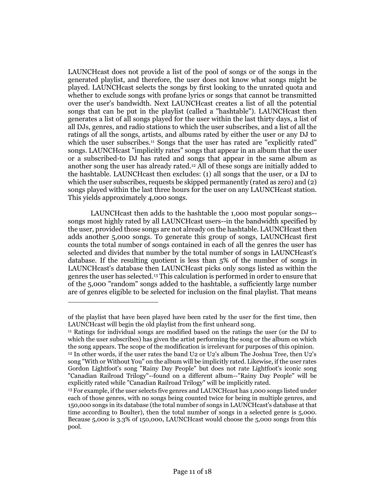LAUNCHcast does not provide a list of the pool of songs or of the songs in the generated playlist, and therefore, the user does not know what songs might be played. LAUNCHcast selects the songs by first looking to the unrated quota and whether to exclude songs with profane lyrics or songs that cannot be transmitted over the user's bandwidth. Next LAUNCHcast creates a list of all the potential songs that can be put in the playlist (called a "hashtable"). LAUNCHcast then generates a list of all songs played for the user within the last thirty days, a list of all DJs, genres, and radio stations to which the user subscribes, and a list of all the ratings of all the songs, artists, and albums rated by either the user or any DJ to which the user subscribes.<sup>11</sup> Songs that the user has rated are "explicitly rated" songs. LAUNCHcast "implicitly rates" songs that appear in an album that the user or a subscribed-to DJ has rated and songs that appear in the same album as another song the user has already rated.<sup>12</sup> All of these songs are initially added to the hashtable. LAUNCHcast then excludes: (1) all songs that the user, or a DJ to which the user subscribes, requests be skipped permanently (rated as zero) and (2) songs played within the last three hours for the user on any LAUNCHcast station. This yields approximately 4,000 songs.

LAUNCHcast then adds to the hashtable the 1,000 most popular songs- songs most highly rated by all LAUNCHcast users--in the bandwidth specified by the user, provided those songs are not already on the hashtable. LAUNCHcast then adds another 5,000 songs. To generate this group of songs, LAUNCHcast first counts the total number of songs contained in each of all the genres the user has selected and divides that number by the total number of songs in LAUNCHcast's database. If the resulting quotient is less than 5% of the number of songs in LAUNCHcast's database then LAUNCHcast picks only songs listed as within the genres the user has selected.<sup>13</sup> This calculation is performed in order to ensure that of the 5,000 "random" songs added to the hashtable, a sufficiently large number are of genres eligible to be selected for inclusion on the final playlist. That means

of the playlist that have been played have been rated by the user for the first time, then LAUNCHcast will begin the old playlist from the first unheard song.

<sup>11</sup> Ratings for individual songs are modified based on the ratings the user (or the DJ to which the user subscribes) has given the artist performing the song or the album on which the song appears. The scope of the modification is irrelevant for purposes of this opinion.

<sup>12</sup> In other words, if the user rates the band U2 or U2's album The Joshua Tree, then U2's song "With or Without You" on the album will be implicitly rated. Likewise, if the user rates Gordon Lightfoot's song "Rainy Day People" but does not rate Lightfoot's iconic song "Canadian Railroad Trilogy"--found on a different album--"Rainy Day People" will be explicitly rated while "Canadian Railroad Trilogy" will be implicitly rated.

<sup>&</sup>lt;sup>13</sup> For example, if the user selects five genres and LAUNCH cast has 1,000 songs listed under each of those genres, with no songs being counted twice for being in multiple genres, and 150,000 songs in its database (the total number of songs in LAUNCHcast's database at that time according to Boulter), then the total number of songs in a selected genre is 5,000. Because 5,000 is 3.3% of 150,000, LAUNCHcast would choose the 5,000 songs from this pool.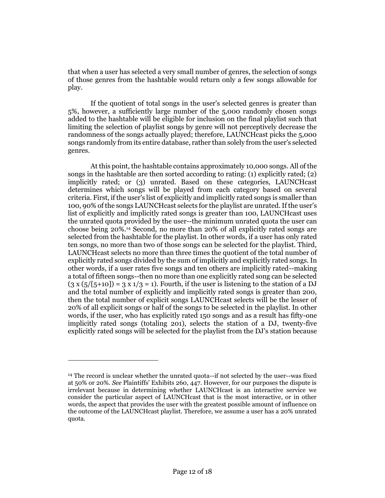that when a user has selected a very small number of genres, the selection of songs of those genres from the hashtable would return only a few songs allowable for play.

If the quotient of total songs in the user's selected genres is greater than 5%, however, a sufficiently large number of the 5,000 randomly chosen songs added to the hashtable will be eligible for inclusion on the final playlist such that limiting the selection of playlist songs by genre will not perceptively decrease the randomness of the songs actually played; therefore, LAUNCHcast picks the 5,000 songs randomly from its entire database, rather than solely from the user's selected genres.

At this point, the hashtable contains approximately 10,000 songs. All of the songs in the hashtable are then sorted according to rating: (1) explicitly rated; (2) implicitly rated; or (3) unrated. Based on these categories, LAUNCHcast determines which songs will be played from each category based on several criteria. First, if the user's list of explicitly and implicitly rated songs is smaller than 100, 90% of the songs LAUNCHcast selects for the playlist are unrated. If the user's list of explicitly and implicitly rated songs is greater than 100, LAUNCHcast uses the unrated quota provided by the user--the minimum unrated quota the user can choose being 20%.<sup>14</sup> Second, no more than 20% of all explicitly rated songs are selected from the hashtable for the playlist. In other words, if a user has only rated ten songs, no more than two of those songs can be selected for the playlist. Third, LAUNCHcast selects no more than three times the quotient of the total number of explicitly rated songs divided by the sum of implicitly and explicitly rated songs. In other words, if a user rates five songs and ten others are implicitly rated--making a total of fifteen songs--then no more than one explicitly rated song can be selected  $(3 \times (5/[5+10]) = 3 \times 1/3 = 1)$ . Fourth, if the user is listening to the station of a DJ and the total number of explicitly and implicitly rated songs is greater than 200, then the total number of explicit songs LAUNCHcast selects will be the lesser of 20% of all explicit songs or half of the songs to be selected in the playlist. In other words, if the user, who has explicitly rated 150 songs and as a result has fifty-one implicitly rated songs (totaling 201), selects the station of a DJ, twenty-five explicitly rated songs will be selected for the playlist from the DJ's station because

<sup>14</sup> The record is unclear whether the unrated quota--if not selected by the user--was fixed at 50% or 20%. *See* Plaintiffs' Exhibits 260, 447. However, for our purposes the dispute is irrelevant because in determining whether LAUNCHcast is an interactive service we consider the particular aspect of LAUNCHcast that is the most interactive, or in other words, the aspect that provides the user with the greatest possible amount of influence on the outcome of the LAUNCHcast playlist. Therefore, we assume a user has a 20% unrated quota.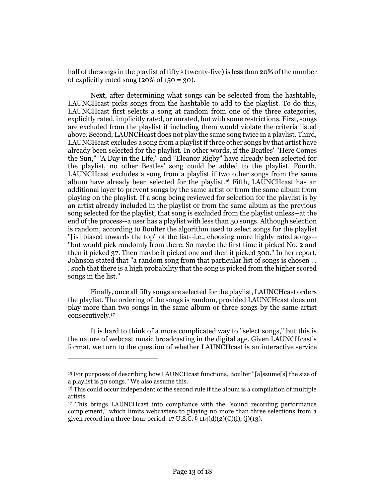half of the songs in the playlist of fifty<sup>15</sup> (twenty-five) is less than 20% of the number of explicitly rated song  $(20\% \text{ of } 150 = 30)$ .

Next, after determining what songs can be selected from the hashtable, LAUNCHcast picks songs from the hashtable to add to the playlist. To do this, LAUNCHcast first selects a song at random from one of the three categories, explicitly rated, implicitly rated, or unrated, but with some restrictions. First, songs are excluded from the playlist if including them would violate the criteria listed above. Second, LAUNCHcast does not play the same song twice in a playlist. Third, LAUNCHcast excludes a song from a playlist if three other songs by that artist have already been selected for the playlist. In other words, if the Beatles' "Here Comes the Sun," "A Day in the Life," and "Eleanor Rigby" have already been selected for the playlist, no other Beatles' song could be added to the playlist. Fourth, LAUNCHcast excludes a song from a playlist if two other songs from the same album have already been selected for the playlist.<sup>16</sup> Fifth, LAUNCHcast has an additional layer to prevent songs by the same artist or from the same album from playing on the playlist. If a song being reviewed for selection for the playlist is by an artist already included in the playlist or from the same album as the previous song selected for the playlist, that song is excluded from the playlist unless--at the end of the process--a user has a playlist with less than 50 songs. Although selection is random, according to Boulter the algorithm used to select songs for the playlist "[is] biased towards the top" of the list--i.e., choosing more highly rated songs-- "but would pick randomly from there. So maybe the first time it picked No. 2 and then it picked 37. Then maybe it picked one and then it picked 300." In her report, Johnson stated that "a random song from that particular list of songs is chosen . . . such that there is a high probability that the song is picked from the higher scored songs in the list."

Finally, once all fifty songs are selected for the playlist, LAUNCHcast orders the playlist. The ordering of the songs is random, provided LAUNCHcast does not play more than two songs in the same album or three songs by the same artist consecutively.<sup>17</sup>

It is hard to think of a more complicated way to "select songs," but this is the nature of webcast music broadcasting in the digital age. Given LAUNCHcast's format, we turn to the question of whether LAUNCHcast is an interactive service

<sup>15</sup> For purposes of describing how LAUNCHcast functions, Boulter "[a]ssume[s] the size of a playlist is 50 songs." We also assume this.

<sup>&</sup>lt;sup>16</sup> This could occur independent of the second rule if the album is a compilation of multiple artists.

<sup>17</sup> This brings LAUNCHcast into compliance with the "sound recording performance complement," which limits webcasters to playing no more than three selections from a given record in a three-hour period.  $17 \text{ U.S.C.}$  §  $114\text{ (d)}(2)\text{ (C)}\text{ (i)},$  (j)( $13\text{).}$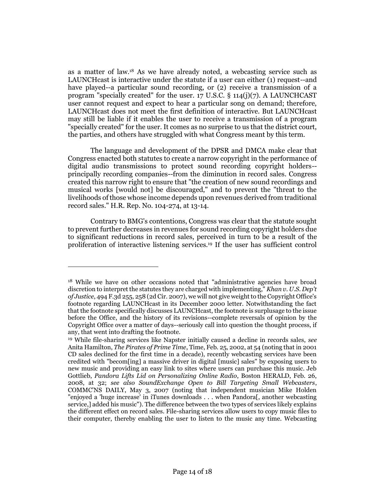as a matter of law.<sup>18</sup> As we have already noted, a webcasting service such as LAUNCHcast is interactive under the statute if a user can either (1) request--and have played--a particular sound recording, or (2) receive a transmission of a program "specially created" for the user. 17 U.S.C. § 114(j)(7). A LAUNCHCAST user cannot request and expect to hear a particular song on demand; therefore, LAUNCHcast does not meet the first definition of interactive. But LAUNCHcast may still be liable if it enables the user to receive a transmission of a program "specially created" for the user. It comes as no surprise to us that the district court, the parties, and others have struggled with what Congress meant by this term.

The language and development of the DPSR and DMCA make clear that Congress enacted both statutes to create a narrow copyright in the performance of digital audio transmissions to protect sound recording copyright holders- principally recording companies--from the diminution in record sales. Congress created this narrow right to ensure that "the creation of new sound recordings and musical works [would not] be discouraged," and to prevent the "threat to the livelihoods of those whose income depends upon revenues derived from traditional record sales." H.R. Rep. No. 104-274, at 13-14.

Contrary to BMG's contentions, Congress was clear that the statute sought to prevent further decreases in revenues for sound recording copyright holders due to significant reductions in record sales, perceived in turn to be a result of the proliferation of interactive listening services.<sup>19</sup> If the user has sufficient control

<sup>18</sup> While we have on other occasions noted that "administrative agencies have broad discretion to interpret the statutes they are charged with implementing," *Khan v. U.S. Dep't of Justice*, 494 F.3d 255, 258 (2d Cir. 2007), we will not give weight to the Copyright Office's footnote regarding LAUNCHcast in its December 2000 letter. Notwithstanding the fact that the footnote specifically discusses LAUNCHcast, the footnote is surplusage to the issue before the Office, and the history of its revisions--complete reversals of opinion by the Copyright Office over a matter of days--seriously call into question the thought process, if any, that went into drafting the footnote.

<sup>19</sup> While file-sharing services like Napster initially caused a decline in records sales, *see* Anita Hamilton, *The Pirates of Prime Time*, Time, Feb. 25, 2002, at 54 (noting that in 2001 CD sales declined for the first time in a decade), recently webcasting services have been credited with "becom[ing] a massive driver in digital [music] sales" by exposing users to new music and providing an easy link to sites where users can purchase this music. Jeb Gottlieb, *Pandora Lifts Lid on Personalizing Online Radio*, Boston HERALD, Feb. 26, 2008, at 32; *see also SoundExchange Open to Bill Targeting Small Webcasters*, COMMC'NS DAILY, May 3, 2007 (noting that independent musician Mike Holden "enjoyed a 'huge increase' in iTunes downloads . . . when Pandora[, another webcasting service,] added his music"). The difference between the two types of services likely explains the different effect on record sales. File-sharing services allow users to copy music files to their computer, thereby enabling the user to listen to the music any time. Webcasting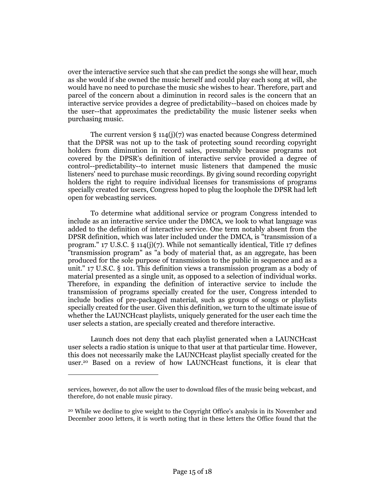over the interactive service such that she can predict the songs she will hear, much as she would if she owned the music herself and could play each song at will, she would have no need to purchase the music she wishes to hear. Therefore, part and parcel of the concern about a diminution in record sales is the concern that an interactive service provides a degree of predictability--based on choices made by the user--that approximates the predictability the music listener seeks when purchasing music.

The current version  $\S 114(j)(7)$  was enacted because Congress determined that the DPSR was not up to the task of protecting sound recording copyright holders from diminution in record sales, presumably because programs not covered by the DPSR's definition of interactive service provided a degree of control--predictability--to internet music listeners that dampened the music listeners' need to purchase music recordings. By giving sound recording copyright holders the right to require individual licenses for transmissions of programs specially created for users, Congress hoped to plug the loophole the DPSR had left open for webcasting services.

To determine what additional service or program Congress intended to include as an interactive service under the DMCA, we look to what language was added to the definition of interactive service. One term notably absent from the DPSR definition, which was later included under the DMCA, is "transmission of a program." 17 U.S.C. § 114(j)(7). While not semantically identical, Title 17 defines "transmission program" as "a body of material that, as an aggregate, has been produced for the sole purpose of transmission to the public in sequence and as a unit." 17 U.S.C. § 101. This definition views a transmission program as a body of material presented as a single unit, as opposed to a selection of individual works. Therefore, in expanding the definition of interactive service to include the transmission of programs specially created for the user, Congress intended to include bodies of pre-packaged material, such as groups of songs or playlists specially created for the user. Given this definition, we turn to the ultimate issue of whether the LAUNCHcast playlists, uniquely generated for the user each time the user selects a station, are specially created and therefore interactive.

Launch does not deny that each playlist generated when a LAUNCHcast user selects a radio station is unique to that user at that particular time. However, this does not necessarily make the LAUNCHcast playlist specially created for the user.<sup>20</sup> Based on a review of how LAUNCHcast functions, it is clear that

services, however, do not allow the user to download files of the music being webcast, and therefore, do not enable music piracy.

<sup>20</sup> While we decline to give weight to the Copyright Office's analysis in its November and December 2000 letters, it is worth noting that in these letters the Office found that the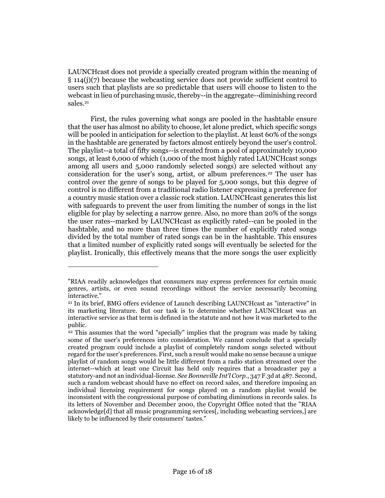LAUNCHcast does not provide a specially created program within the meaning of § 114(j)(7) because the webcasting service does not provide sufficient control to users such that playlists are so predictable that users will choose to listen to the webcast in lieu of purchasing music, thereby--in the aggregate--diminishing record sales.<sup>21</sup>

First, the rules governing what songs are pooled in the hashtable ensure that the user has almost no ability to choose, let alone predict, which specific songs will be pooled in anticipation for selection to the playlist. At least 60% of the songs in the hashtable are generated by factors almost entirely beyond the user's control. The playlist--a total of fifty songs--is created from a pool of approximately 10,000 songs, at least 6,000 of which (1,000 of the most highly rated LAUNCHcast songs among all users and 5,000 randomly selected songs) are selected without any consideration for the user's song, artist, or album preferences.<sup>22</sup> The user has control over the genre of songs to be played for 5,000 songs, but this degree of control is no different from a traditional radio listener expressing a preference for a country music station over a classic rock station. LAUNCHcast generates this list with safeguards to prevent the user from limiting the number of songs in the list eligible for play by selecting a narrow genre. Also, no more than 20% of the songs the user rates--marked by LAUNCHcast as explicitly rated--can be pooled in the hashtable, and no more than three times the number of explicitly rated songs divided by the total number of rated songs can be in the hashtable. This ensures that a limited number of explicitly rated songs will eventually be selected for the playlist. Ironically, this effectively means that the more songs the user explicitly

<sup>&</sup>quot;RIAA readily acknowledges that consumers may express preferences for certain music genres, artists, or even sound recordings without the service necessarily becoming interactive."

<sup>21</sup> In its brief, BMG offers evidence of Launch describing LAUNCHcast as "interactive" in its marketing literature. But our task is to determine whether LAUNCHcast was an interactive service as that term is defined in the statute and not how it was marketed to the public.

<sup>22</sup> This assumes that the word "specially" implies that the program was made by taking some of the user's preferences into consideration. We cannot conclude that a specially created program could include a playlist of completely random songs selected without regard for the user's preferences. First, such a result would make no sense because a unique playlist of random songs would be little different from a radio station streamed over the internet--which at least one Circuit has held only requires that a broadcaster pay a statutory-and not an individual-license. *See Bonneville Int'l Corp*., 347 F.3d at 487. Second, such a random webcast should have no effect on record sales, and therefore imposing an individual licensing requirement for songs played on a random playlist would be inconsistent with the congressional purpose of combating diminutions in records sales. In its letters of November and December 2000, the Copyright Office noted that the "RIAA acknowledge[d] that all music programming services[, including webcasting services,] are likely to be influenced by their consumers' tastes."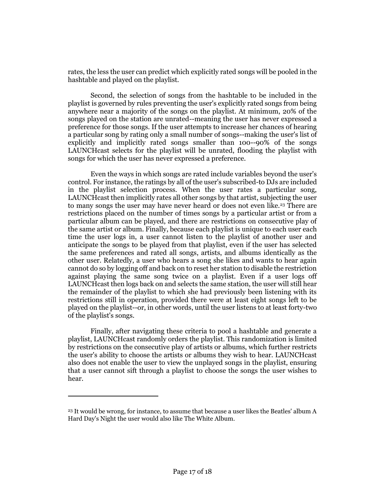rates, the less the user can predict which explicitly rated songs will be pooled in the hashtable and played on the playlist.

Second, the selection of songs from the hashtable to be included in the playlist is governed by rules preventing the user's explicitly rated songs from being anywhere near a majority of the songs on the playlist. At minimum, 20% of the songs played on the station are unrated--meaning the user has never expressed a preference for those songs. If the user attempts to increase her chances of hearing a particular song by rating only a small number of songs--making the user's list of explicitly and implicitly rated songs smaller than 100--90% of the songs LAUNCHcast selects for the playlist will be unrated, flooding the playlist with songs for which the user has never expressed a preference.

Even the ways in which songs are rated include variables beyond the user's control. For instance, the ratings by all of the user's subscribed-to DJs are included in the playlist selection process. When the user rates a particular song, LAUNCHcast then implicitly rates all other songs by that artist, subjecting the user to many songs the user may have never heard or does not even like.<sup>23</sup> There are restrictions placed on the number of times songs by a particular artist or from a particular album can be played, and there are restrictions on consecutive play of the same artist or album. Finally, because each playlist is unique to each user each time the user logs in, a user cannot listen to the playlist of another user and anticipate the songs to be played from that playlist, even if the user has selected the same preferences and rated all songs, artists, and albums identically as the other user. Relatedly, a user who hears a song she likes and wants to hear again cannot do so by logging off and back on to reset her station to disable the restriction against playing the same song twice on a playlist. Even if a user logs off LAUNCHcast then logs back on and selects the same station, the user will still hear the remainder of the playlist to which she had previously been listening with its restrictions still in operation, provided there were at least eight songs left to be played on the playlist--or, in other words, until the user listens to at least forty-two of the playlist's songs.

Finally, after navigating these criteria to pool a hashtable and generate a playlist, LAUNCHcast randomly orders the playlist. This randomization is limited by restrictions on the consecutive play of artists or albums, which further restricts the user's ability to choose the artists or albums they wish to hear. LAUNCHcast also does not enable the user to view the unplayed songs in the playlist, ensuring that a user cannot sift through a playlist to choose the songs the user wishes to hear.

<sup>&</sup>lt;sup>23</sup> It would be wrong, for instance, to assume that because a user likes the Beatles' album A Hard Day's Night the user would also like The White Album.